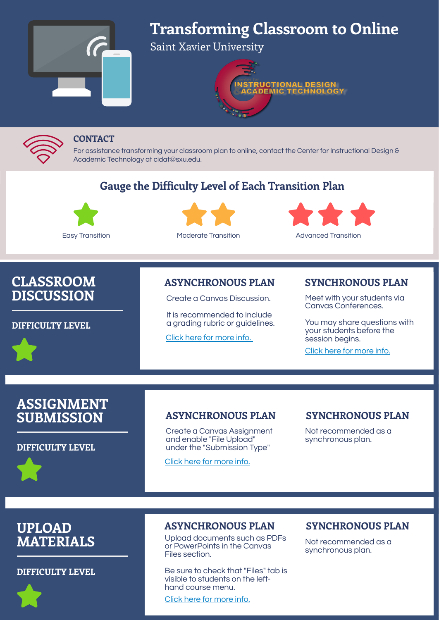### **CONTACT**

For assistance transforming your classroom plan to online, contact the Center for Instructional Design & Academic Technology at cidat@sxu.edu.





## **Gauge the Difficulty Level of Each Transition Plan**







# **CLASSROOM DISCUSSION**

#### **DIFFICULTY LEVEL**

Easy Transition Moderate Transition Advanced Transition

# **ASSIGNMENT SUBMISSION**

#### **DIFFICULTY LEVEL**

## **UPLOAD MATERIALS**

#### **DIFFICULTY LEVEL**



## **ASYNCHRONOUS PLAN**

Create a Canvas Discussion.

It is recommended to include a grading rubric or guidelines.

Click here for [more](https://sxu.instructure.com/courses/20593/pages/mvp-5-online-discussion?module_item_id=497472) info.

## **SYNCHRONOUS PLAN**

Meet with your students via Canvas Conferences.

You may share questions with your students before the session begins.

Click here for [more](https://sxu.instructure.com/courses/20593/pages/mvp-7-synchronous-online-meetings-canvas-conferences?module_item_id=497471) info.

## **ASYNCHRONOUS PLAN**

Create a Canvas Assignment and enable "File Upload" under the "Submission Type"

Click here for [more](https://sxu.instructure.com/courses/20593/pages/mvp-3-online-assignment?module_item_id=497474) info.

## **SYNCHRONOUS PLAN**

Not recommended as a synchronous plan.

## **ASYNCHRONOUS PLAN**

Upload documents such as PDFs or PowerPoints in the Canvas Files section.

Be sure to check that "Files" tab is visible to students on the lefthand course menu.

Click here for [more](https://sxu.instructure.com/courses/20593/pages/mvp-2-upload-course-materials?module_item_id=497476) info.

### **SYNCHRONOUS PLAN**

Not recommended as a synchronous plan.